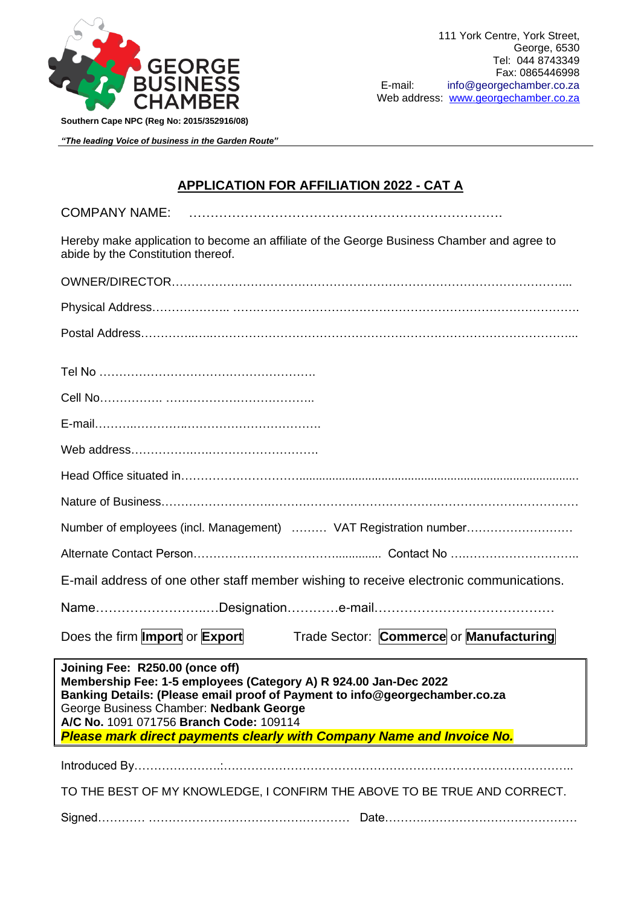

*"The leading Voice of business in the Garden Route"*

## **APPLICATION FOR AFFILIATION 2022 - CAT A**

| <b>COMPANY NAME</b><br><b>UUINIE</b> |  |
|--------------------------------------|--|
|                                      |  |

Hereby make application to become an affiliate of the George Business Chamber and agree to abide by the Constitution thereof.

| Number of employees (incl. Management)  VAT Registration number                                                                                                                                                                                                                                                                                          |  |  |  |
|----------------------------------------------------------------------------------------------------------------------------------------------------------------------------------------------------------------------------------------------------------------------------------------------------------------------------------------------------------|--|--|--|
|                                                                                                                                                                                                                                                                                                                                                          |  |  |  |
| E-mail address of one other staff member wishing to receive electronic communications.                                                                                                                                                                                                                                                                   |  |  |  |
|                                                                                                                                                                                                                                                                                                                                                          |  |  |  |
| Does the firm <b>Import</b> or <b>Export</b><br>Trade Sector: Commerce or Manufacturing                                                                                                                                                                                                                                                                  |  |  |  |
| Joining Fee: R250.00 (once off)<br>Membership Fee: 1-5 employees (Category A) R 924.00 Jan-Dec 2022<br>Banking Details: (Please email proof of Payment to info@georgechamber.co.za<br>George Business Chamber: Nedbank George<br>A/C No. 1091 071756 Branch Code: 109114<br><b>Please mark direct payments clearly with Company Name and Invoice No.</b> |  |  |  |
|                                                                                                                                                                                                                                                                                                                                                          |  |  |  |
| TO THE BEST OF MY KNOWLEDGE, I CONFIRM THE ABOVE TO BE TRUE AND CORRECT.                                                                                                                                                                                                                                                                                 |  |  |  |
|                                                                                                                                                                                                                                                                                                                                                          |  |  |  |